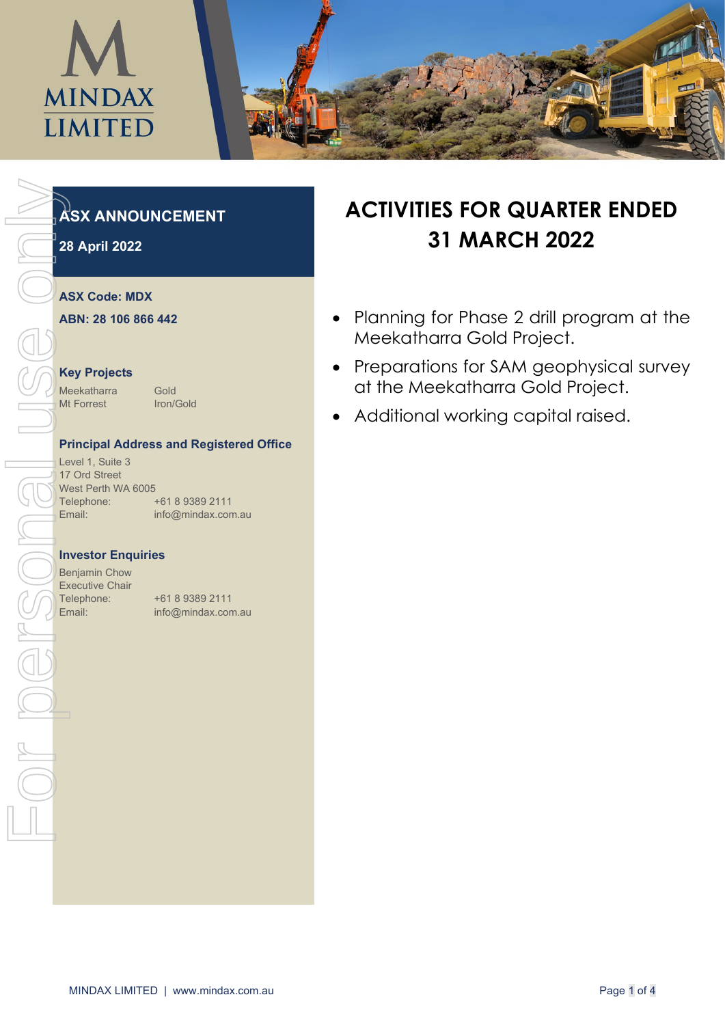

## **ASX ANNOUNCEMENT**

**28 April 2022**

## **ASX Code: MDX**

**ABN: 28 106 866 442**

#### **Key Projects**

Meekatharra Gold Mt Forrest Iron/Gold

## **Principal Address and Registered Office**

Level 1, Suite 3 17 Ord Street West Perth WA 6005 Telephone: +61 8 9389 2111 Email: info@mindax.com.au

#### **Investor Enquiries**

Benjamin Chow Executive Chair

Telephone: +61 8 9389 2111

# **ACTIVITIES FOR QUARTER ENDED 31 MARCH 2022**

- Planning for Phase 2 drill program at the Meekatharra Gold Project.
- Preparations for SAM geophysical survey at the Meekatharra Gold Project.
- Additional working capital raised.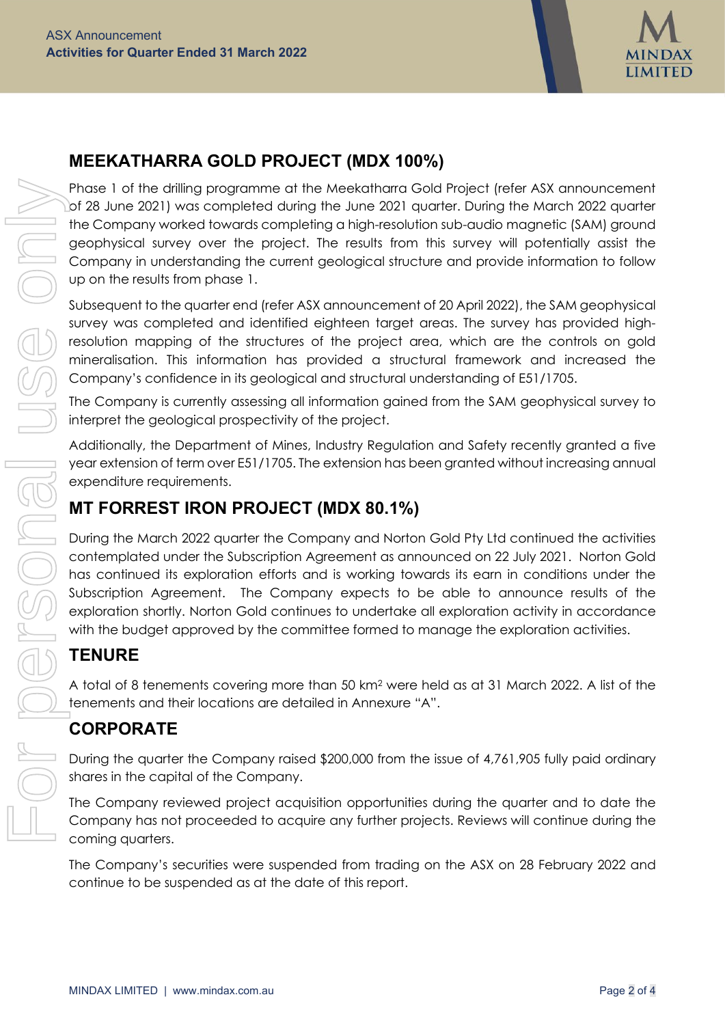

## **MEEKATHARRA GOLD PROJECT (MDX 100%)**

Phase 1 of the drilling programme at the Meekatharra Gold Project (refer ASX announcement Lof 28 June 2021) was completed during the June 2021 quarter. During the March 2022 quarter the Company worked towards completing a high-resolution sub-audio magnetic (SAM) ground geophysical survey over the project. The results from this survey will potentially assist the Company in understanding the current geological structure and provide information to follow up on the results from phase 1.

Subsequent to the quarter end (refer ASX announcement of 20 April 2022), the SAM geophysical survey was completed and identified eighteen target areas. The survey has provided highresolution mapping of the structures of the project area, which are the controls on gold mineralisation. This information has provided a structural framework and increased the Company's confidence in its geological and structural understanding of E51/1705.

The Company is currently assessing all information gained from the SAM geophysical survey to interpret the geological prospectivity of the project.

Additionally, the [Department of Mines, Industry Regulation and Safety](https://www.google.com/search?rlz=1C1GCEU_enAU819AU819&q=Department+of+Mines,+Industry+Regulation+and+Safety&stick=H4sIAAAAAAAAAONgVuLVT9c3NCyIN60wzc4oWcRq7JJakFhUkpuaV6KQn6bgm5mXWqyj4JmXUlpcUlSpEJSaXpqTWJKZn6eQmJeiEJyYllpSCQBqoJldRwAAAA&sa=X&sqi=2&ved=2ahUKEwjU2Iqf9YP3AhXtGLkGHT-1CN0QmxMoAXoECD4QAw) recently granted a five year extension of term over E51/1705. The extension has been granted without increasing annual expenditure requirements.

## **MT FORREST IRON PROJECT (MDX 80.1%)**

During the March 2022 quarter the Company and Norton Gold Pty Ltd continued the activities contemplated under the Subscription Agreement as announced on 22 July 2021. Norton Gold has continued its exploration efforts and is working towards its earn in conditions under the Subscription Agreement. The Company expects to be able to announce results of the exploration shortly. Norton Gold continues to undertake all exploration activity in accordance with the budget approved by the committee formed to manage the exploration activities.

## **TENURE**

A total of 8 tenements covering more than 50 km2 were held as at 31 March 2022. A list of the tenements and their locations are detailed in Annexure "A".

## **CORPORATE**

During the quarter the Company raised \$200,000 from the issue of 4,761,905 fully paid ordinary shares in the capital of the Company.

The Company reviewed project acquisition opportunities during the quarter and to date the Company has not proceeded to acquire any further projects. Reviews will continue during the coming quarters.

The Company's securities were suspended from trading on the ASX on 28 February 2022 and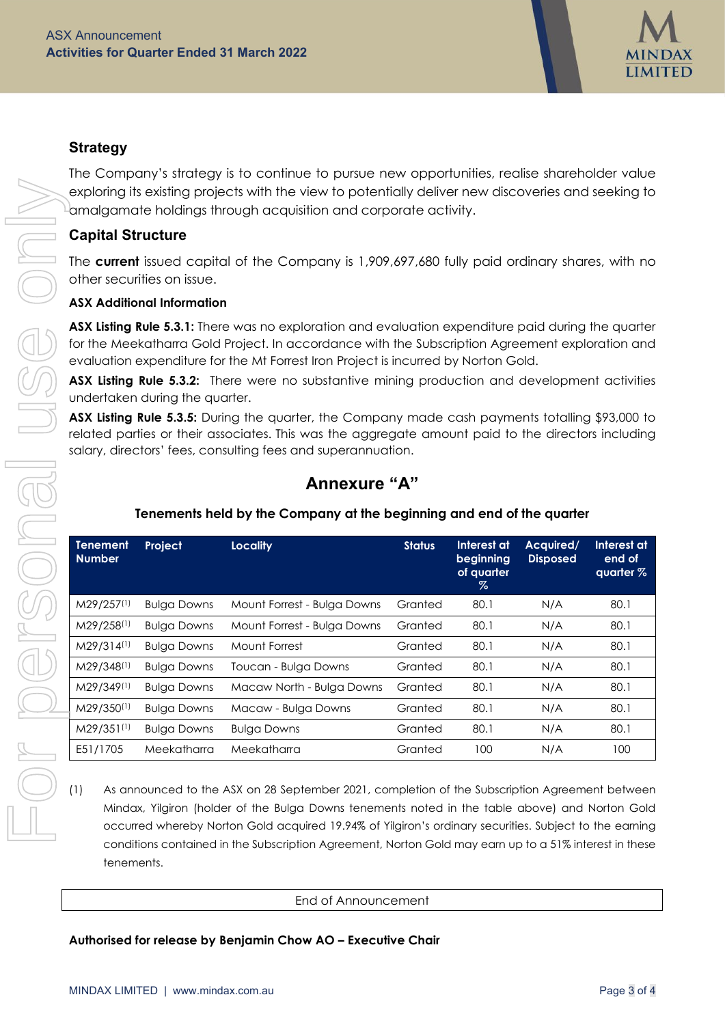

## **Strategy**

The Company's strategy is to continue to pursue new opportunities, realise shareholder value exploring its existing projects with the view to potentially deliver new discoveries and seeking to  $^{\text{\tiny{\textsf{L}}} }$ amalgamate holdings through acquisition and corporate activity.

## **Capital Structure**

## **ASX Additional Information**

## **Annexure "A"**

## **Tenements held by the Company at the beginning and end of the quarter**

| <b>Capital Structure</b>         |                                   |                                                                                                                                                                                                                                                                                                                                                                                                                                                                                                                                                                                                                                                                          |               |                                                |                              |                                    |
|----------------------------------|-----------------------------------|--------------------------------------------------------------------------------------------------------------------------------------------------------------------------------------------------------------------------------------------------------------------------------------------------------------------------------------------------------------------------------------------------------------------------------------------------------------------------------------------------------------------------------------------------------------------------------------------------------------------------------------------------------------------------|---------------|------------------------------------------------|------------------------------|------------------------------------|
|                                  |                                   |                                                                                                                                                                                                                                                                                                                                                                                                                                                                                                                                                                                                                                                                          |               |                                                |                              |                                    |
|                                  | other securities on issue.        | The <b>current</b> issued capital of the Company is 1,909,697,680 fully paid ordinary shares, with no                                                                                                                                                                                                                                                                                                                                                                                                                                                                                                                                                                    |               |                                                |                              |                                    |
|                                  | <b>ASX Additional Information</b> |                                                                                                                                                                                                                                                                                                                                                                                                                                                                                                                                                                                                                                                                          |               |                                                |                              |                                    |
|                                  | undertaken during the quarter.    | ASX Listing Rule 5.3.1: There was no exploration and evaluation expenditure paid during the quarter<br>for the Meekatharra Gold Project. In accordance with the Subscription Agreement exploration and<br>evaluation expenditure for the Mt Forrest Iron Project is incurred by Norton Gold.<br>ASX Listing Rule 5.3.2: There were no substantive mining production and development activities<br>ASX Listing Rule 5.3.5: During the quarter, the Company made cash payments totalling \$93,000 to<br>related parties or their associates. This was the aggregate amount paid to the directors including<br>salary, directors' fees, consulting fees and superannuation. |               |                                                |                              |                                    |
|                                  |                                   |                                                                                                                                                                                                                                                                                                                                                                                                                                                                                                                                                                                                                                                                          |               |                                                |                              |                                    |
|                                  |                                   | <b>Annexure "A"</b>                                                                                                                                                                                                                                                                                                                                                                                                                                                                                                                                                                                                                                                      |               |                                                |                              |                                    |
|                                  |                                   | Tenements held by the Company at the beginning and end of the quarter                                                                                                                                                                                                                                                                                                                                                                                                                                                                                                                                                                                                    |               |                                                |                              |                                    |
| <b>Tenement</b><br><b>Number</b> | Project                           | <b>Locality</b>                                                                                                                                                                                                                                                                                                                                                                                                                                                                                                                                                                                                                                                          | <b>Status</b> | Interest at<br>beginning<br>of quarter<br>$\%$ | Acquired/<br><b>Disposed</b> | Interest at<br>end of<br>quarter % |
| M29/257(1)                       | <b>Bulga Downs</b>                | Mount Forrest - Bulga Downs                                                                                                                                                                                                                                                                                                                                                                                                                                                                                                                                                                                                                                              | Granted       | 80.1                                           | N/A                          | 80.1                               |
| M29/258(1)                       | <b>Bulga Downs</b>                | Mount Forrest - Bulga Downs                                                                                                                                                                                                                                                                                                                                                                                                                                                                                                                                                                                                                                              | Granted       | 80.1                                           | N/A                          | 80.1                               |
| M29/314(1)                       | <b>Bulga Downs</b>                | Mount Forrest                                                                                                                                                                                                                                                                                                                                                                                                                                                                                                                                                                                                                                                            | Granted       | 80.1                                           | N/A                          | 80.1                               |
| M29/348 <sup>(1)</sup>           | <b>Bulga Downs</b>                | Toucan - Bulga Downs                                                                                                                                                                                                                                                                                                                                                                                                                                                                                                                                                                                                                                                     | Granted       | 80.1                                           | N/A                          | 80.1                               |
| M29/349(1)                       | <b>Bulga Downs</b>                | Macaw North - Bulga Downs                                                                                                                                                                                                                                                                                                                                                                                                                                                                                                                                                                                                                                                | Granted       | 80.1                                           | N/A                          | 80.1                               |
| M29/350(1)                       | <b>Bulga Downs</b>                | Macaw - Bulga Downs                                                                                                                                                                                                                                                                                                                                                                                                                                                                                                                                                                                                                                                      | Granted       | 80.1                                           | N/A                          | 80.1                               |
| M29/351(1)                       | <b>Bulga Downs</b>                | <b>Bulga Downs</b>                                                                                                                                                                                                                                                                                                                                                                                                                                                                                                                                                                                                                                                       | Granted       | 80.1                                           | N/A                          | 80.1                               |

## End of Announcement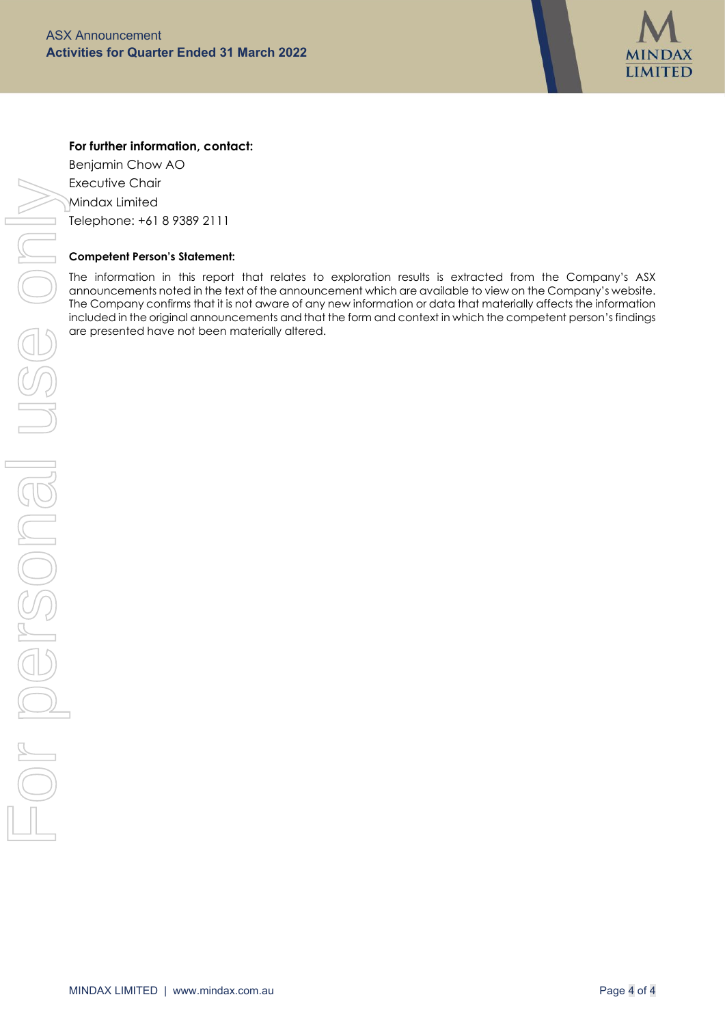

## **For further information, contact:**

Benjamin Chow AO Executive Chair Mindax Limited Telephone: +61 8 9389 2111

#### **Competent Person's Statement:**

The information in this report that relates to exploration results is extracted from the Company's ASX announcements noted in the text of the announcement which are available to view on the Company's website. The Company confirms that it is not aware of any new information or data that materially affects the information included in the original announcements and that the form and context in which the competent person's findings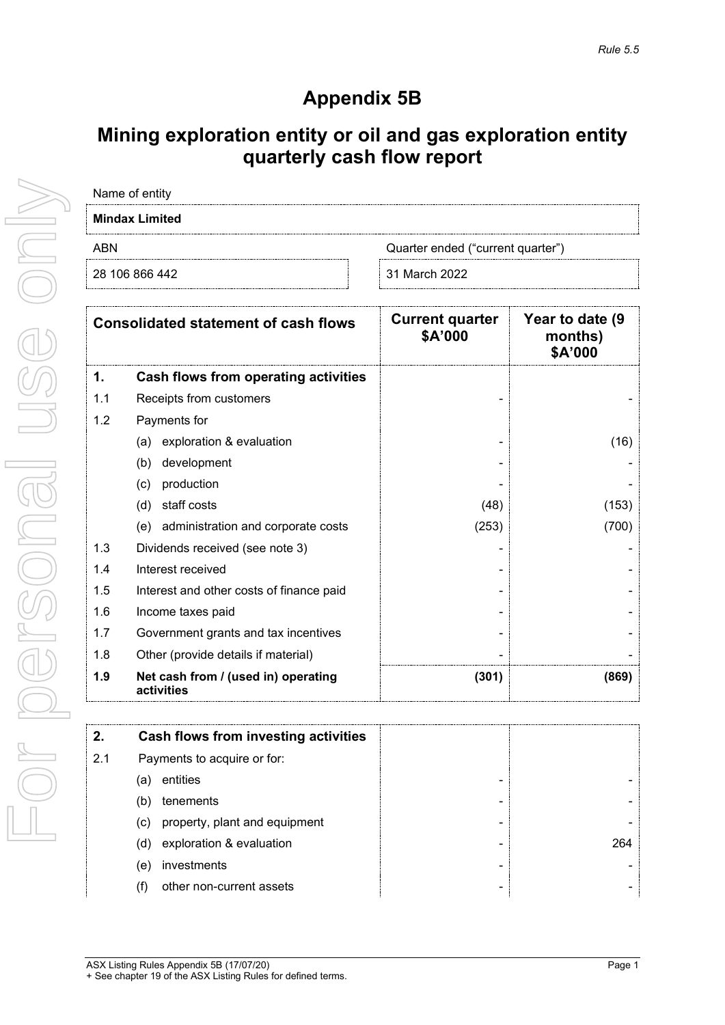# **Appendix 5B**

# **Mining exploration entity or oil and gas exploration entity quarterly cash flow report**

| Name of entity        |                                   |  |  |
|-----------------------|-----------------------------------|--|--|
| <b>Mindax Limited</b> |                                   |  |  |
| ABN                   | Quarter ended ("current quarter") |  |  |
| 28 106 866 442        | 31 March 2022                     |  |  |

| <b>Consolidated statement of cash flows</b> |                                                   | <b>Current quarter</b><br>\$A'000 | Year to date (9)<br>months)<br>\$A'000 |
|---------------------------------------------|---------------------------------------------------|-----------------------------------|----------------------------------------|
| 1.                                          | Cash flows from operating activities              |                                   |                                        |
| 1.1                                         | Receipts from customers                           |                                   |                                        |
| 1.2                                         | Payments for                                      |                                   |                                        |
|                                             | exploration & evaluation<br>(a)                   |                                   | (16)                                   |
|                                             | development<br>(b)                                |                                   |                                        |
|                                             | production<br>(c)                                 |                                   |                                        |
|                                             | staff costs<br>(d)                                | (48)                              | (153)                                  |
|                                             | administration and corporate costs<br>(e)         | (253)                             | (700)                                  |
| 1.3                                         | Dividends received (see note 3)                   |                                   |                                        |
| 1.4                                         | Interest received                                 |                                   |                                        |
| 1.5                                         | Interest and other costs of finance paid          |                                   |                                        |
| 1.6                                         | Income taxes paid                                 |                                   |                                        |
| 1.7                                         | Government grants and tax incentives              |                                   |                                        |
| 1.8                                         | Other (provide details if material)               |                                   |                                        |
| 1.9                                         | Net cash from / (used in) operating<br>activities | (301)                             | (869)                                  |

| 2.  | Cash flows from investing activities |     |
|-----|--------------------------------------|-----|
| 2.1 | Payments to acquire or for:          |     |
|     | entities<br>a)                       |     |
|     | tenements<br>(b)                     |     |
|     | property, plant and equipment<br>(c) |     |
|     | exploration & evaluation<br>(d)      | 264 |
|     | investments<br>(e)                   |     |
|     | other non-current assets             | -   |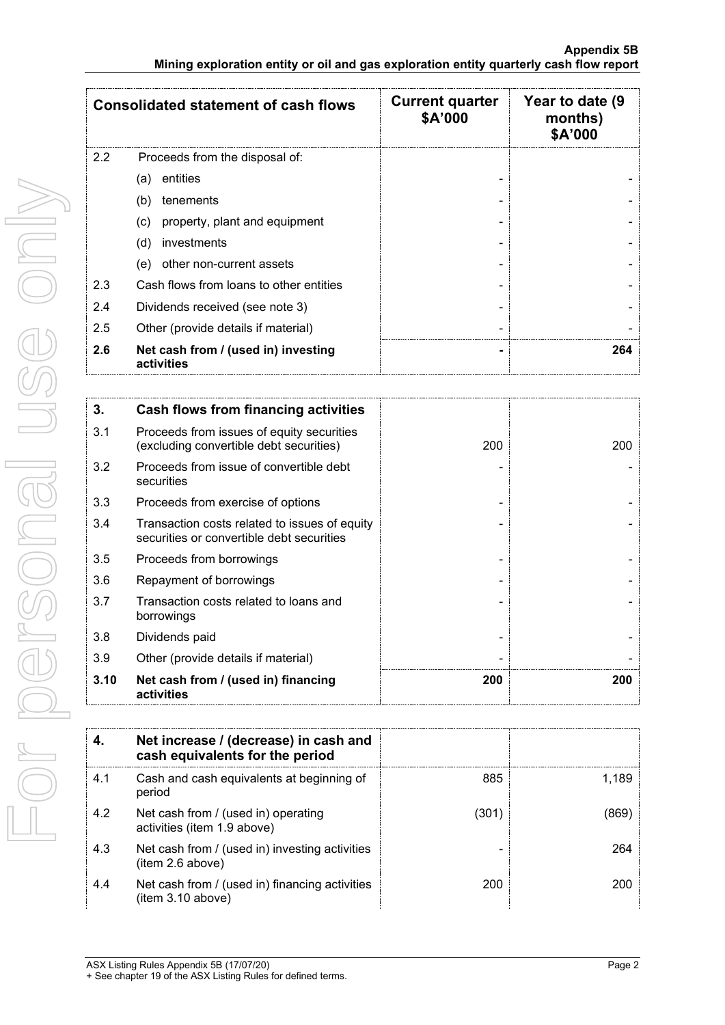| <b>Consolidated statement of cash flows</b> |                                                   | <b>Current quarter</b><br>\$A'000 | Year to date (9<br>months)<br>\$A'000 |
|---------------------------------------------|---------------------------------------------------|-----------------------------------|---------------------------------------|
| $2.2^{\circ}$                               | Proceeds from the disposal of:                    |                                   |                                       |
|                                             | entities<br>(a)                                   |                                   |                                       |
|                                             | tenements<br>(b)                                  |                                   |                                       |
|                                             | property, plant and equipment<br>(c)              |                                   |                                       |
|                                             | investments<br>(d)                                |                                   |                                       |
|                                             | other non-current assets<br>(e)                   |                                   |                                       |
| 2.3                                         | Cash flows from loans to other entities           |                                   |                                       |
| 2.4                                         | Dividends received (see note 3)                   |                                   |                                       |
| 2.5                                         | Other (provide details if material)               |                                   |                                       |
| 2.6                                         | Net cash from / (used in) investing<br>activities |                                   | 264                                   |

| 3.   | <b>Cash flows from financing activities</b>                                                |     |     |
|------|--------------------------------------------------------------------------------------------|-----|-----|
| 3.1  | Proceeds from issues of equity securities<br>(excluding convertible debt securities)       | 200 | 200 |
| 3.2  | Proceeds from issue of convertible debt<br>securities                                      |     |     |
| 3.3  | Proceeds from exercise of options                                                          |     |     |
| 3.4  | Transaction costs related to issues of equity<br>securities or convertible debt securities |     |     |
| 3.5  | Proceeds from borrowings                                                                   |     |     |
| 3.6  | Repayment of borrowings                                                                    |     |     |
| 3.7  | Transaction costs related to loans and<br>borrowings                                       |     |     |
| 3.8  | Dividends paid                                                                             |     |     |
| 3.9  | Other (provide details if material)                                                        |     |     |
| 3.10 | Net cash from / (used in) financing<br>activities                                          | 200 | 200 |

|     | Net increase / (decrease) in cash and<br>cash equivalents for the period |      |       |
|-----|--------------------------------------------------------------------------|------|-------|
| 4.1 | Cash and cash equivalents at beginning of<br>period                      | 885  | 1.189 |
| 4.2 | Net cash from / (used in) operating<br>activities (item 1.9 above)       | (301 |       |
| 4.3 | Net cash from / (used in) investing activities<br>(item 2.6 above)       |      | 264   |
| 4.4 | Net cash from / (used in) financing activities<br>(item 3.10 above)      | 200  |       |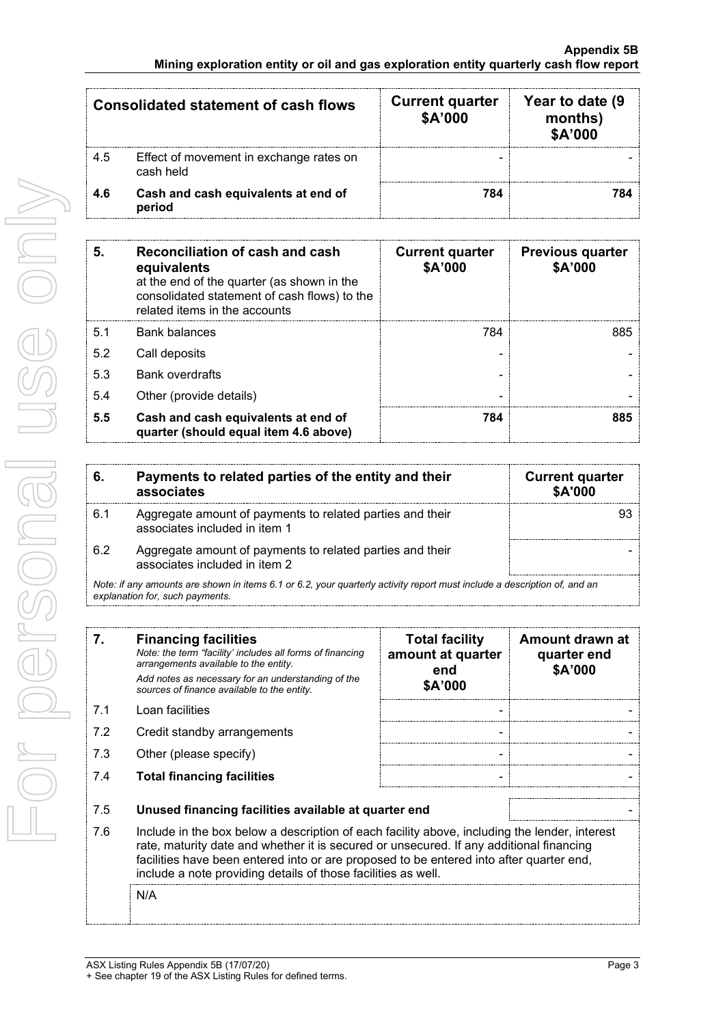| <b>Consolidated statement of cash flows</b> |                                                      | <b>Current quarter</b><br>\$A'000 | Year to date (9)<br>months)<br>\$A'000 |
|---------------------------------------------|------------------------------------------------------|-----------------------------------|----------------------------------------|
| 4.5                                         | Effect of movement in exchange rates on<br>cash held |                                   |                                        |
| 4.6                                         | Cash and cash equivalents at end of<br>period        | 784                               |                                        |

| 5.  | Reconciliation of cash and cash<br>equivalents<br>at the end of the quarter (as shown in the<br>consolidated statement of cash flows) to the<br>related items in the accounts | <b>Current quarter</b><br>\$A'000 | <b>Previous quarter</b><br>\$A'000 |
|-----|-------------------------------------------------------------------------------------------------------------------------------------------------------------------------------|-----------------------------------|------------------------------------|
| 5.1 | Bank balances                                                                                                                                                                 | 784                               | 885                                |
| 5.2 | Call deposits                                                                                                                                                                 |                                   |                                    |
| 5.3 | <b>Bank overdrafts</b>                                                                                                                                                        |                                   |                                    |
| 5.4 | Other (provide details)                                                                                                                                                       |                                   |                                    |
| 5.5 | Cash and cash equivalents at end of<br>quarter (should equal item 4.6 above)                                                                                                  | 784                               | 885                                |

|     | Payments to related parties of the entity and their<br>associates                                                        | <b>Current quarter</b><br>\$A'000 |
|-----|--------------------------------------------------------------------------------------------------------------------------|-----------------------------------|
| 6.1 | Aggregate amount of payments to related parties and their<br>associates included in item 1                               |                                   |
| 6.2 | Aggregate amount of payments to related parties and their<br>associates included in item 2                               |                                   |
|     | Note: if any amounts are shown in items 6.1 or 6.2, your quarterly activity report must include a description of, and an |                                   |

*explanation for, such payments.*

| 7.  | <b>Financing facilities</b><br>Note: the term "facility' includes all forms of financing<br>arrangements available to the entity.<br>Add notes as necessary for an understanding of the<br>sources of finance available to the entity.                                                                                                               | <b>Total facility</b><br>amount at quarter<br>end<br>\$A'000 | Amount drawn at<br>quarter end<br>\$A'000 |
|-----|------------------------------------------------------------------------------------------------------------------------------------------------------------------------------------------------------------------------------------------------------------------------------------------------------------------------------------------------------|--------------------------------------------------------------|-------------------------------------------|
| 7.1 | Loan facilities                                                                                                                                                                                                                                                                                                                                      |                                                              |                                           |
| 7.2 | Credit standby arrangements                                                                                                                                                                                                                                                                                                                          |                                                              |                                           |
| 7.3 | Other (please specify)                                                                                                                                                                                                                                                                                                                               |                                                              |                                           |
| 7.4 | <b>Total financing facilities</b>                                                                                                                                                                                                                                                                                                                    |                                                              |                                           |
| 7.5 | Unused financing facilities available at quarter end                                                                                                                                                                                                                                                                                                 |                                                              |                                           |
| 7.6 | Include in the box below a description of each facility above, including the lender, interest<br>rate, maturity date and whether it is secured or unsecured. If any additional financing<br>facilities have been entered into or are proposed to be entered into after quarter end,<br>include a note providing details of those facilities as well. |                                                              |                                           |
|     | N/A                                                                                                                                                                                                                                                                                                                                                  |                                                              |                                           |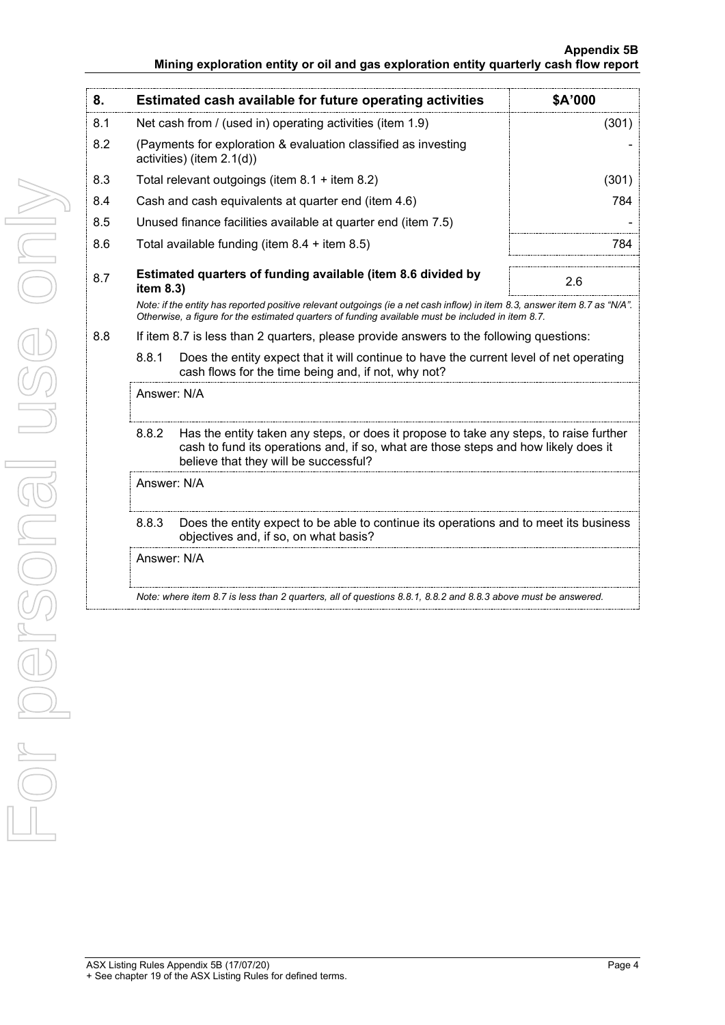## **Appendix 5B Mining exploration entity or oil and gas exploration entity quarterly cash flow report**

| 8.  |                                                                                                                                         | Estimated cash available for future operating activities                                                                                                                                                                        | \$A'000 |  |
|-----|-----------------------------------------------------------------------------------------------------------------------------------------|---------------------------------------------------------------------------------------------------------------------------------------------------------------------------------------------------------------------------------|---------|--|
| 8.1 |                                                                                                                                         | Net cash from / (used in) operating activities (item 1.9)                                                                                                                                                                       | (301)   |  |
| 8.2 | (Payments for exploration & evaluation classified as investing<br>activities) (item 2.1(d))                                             |                                                                                                                                                                                                                                 |         |  |
| 8.3 | Total relevant outgoings (item 8.1 + item 8.2)                                                                                          |                                                                                                                                                                                                                                 | (301)   |  |
| 8.4 |                                                                                                                                         | Cash and cash equivalents at quarter end (item 4.6)                                                                                                                                                                             | 784     |  |
| 8.5 |                                                                                                                                         | Unused finance facilities available at quarter end (item 7.5)                                                                                                                                                                   |         |  |
| 8.6 |                                                                                                                                         | Total available funding (item $8.4 +$ item $8.5$ )                                                                                                                                                                              | 784     |  |
| 8.7 | item 8.3)                                                                                                                               | Estimated quarters of funding available (item 8.6 divided by                                                                                                                                                                    | 2.6     |  |
|     |                                                                                                                                         | Note: if the entity has reported positive relevant outgoings (ie a net cash inflow) in item 8.3, answer item 8.7 as "N/A".<br>Otherwise, a figure for the estimated quarters of funding available must be included in item 8.7. |         |  |
| 8.8 |                                                                                                                                         | If item 8.7 is less than 2 quarters, please provide answers to the following questions:                                                                                                                                         |         |  |
|     | 8.8.1                                                                                                                                   | Does the entity expect that it will continue to have the current level of net operating<br>cash flows for the time being and, if not, why not?                                                                                  |         |  |
|     | Answer: N/A                                                                                                                             |                                                                                                                                                                                                                                 |         |  |
|     | 8.8.2                                                                                                                                   | Has the entity taken any steps, or does it propose to take any steps, to raise further<br>cash to fund its operations and, if so, what are those steps and how likely does it<br>believe that they will be successful?          |         |  |
|     | Answer: N/A                                                                                                                             |                                                                                                                                                                                                                                 |         |  |
|     | Does the entity expect to be able to continue its operations and to meet its business<br>8.8.3<br>objectives and, if so, on what basis? |                                                                                                                                                                                                                                 |         |  |
|     | Answer: N/A                                                                                                                             |                                                                                                                                                                                                                                 |         |  |
|     |                                                                                                                                         | Note: where item 8.7 is less than 2 quarters, all of questions 8.8.1, 8.8.2 and 8.8.3 above must be answered.                                                                                                                   |         |  |